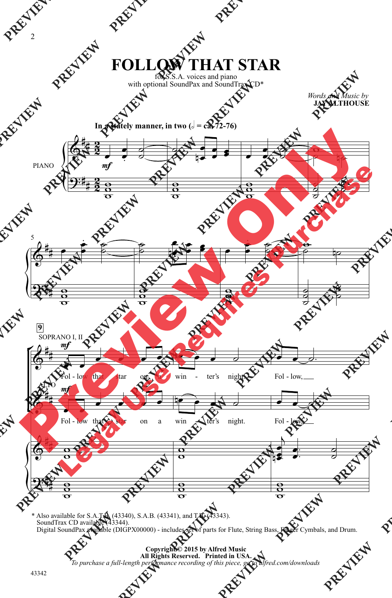## **FOLLOW THAT STAR**

for S.S.A. voices and piano with optional SoundPax and SoundTrax CD\*

> *Words and Music by* **JAY ALTHOUSE**



\* Also available for S.A.T.B. (43340), S.A.B. (43341), and T.B. (43343). SoundTrax CD available (43344). Digital SoundPax available (DIGPX00000) - includes set of parts for Flute, String Bass, Finger Cymbals, and Drum.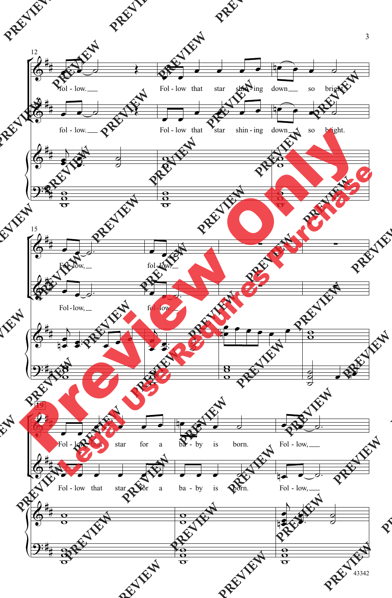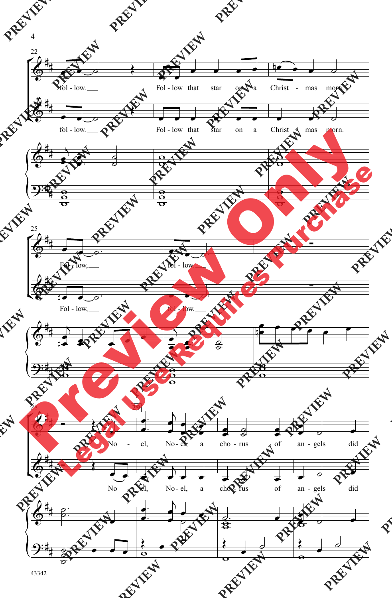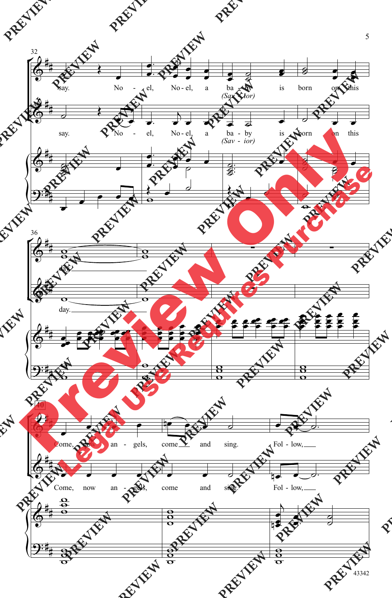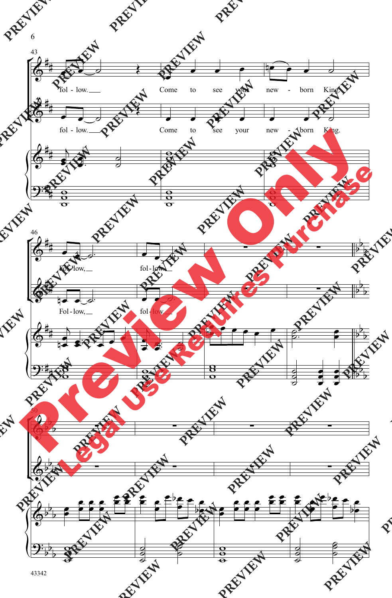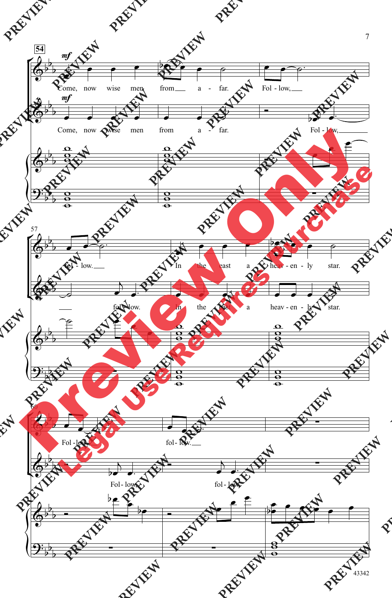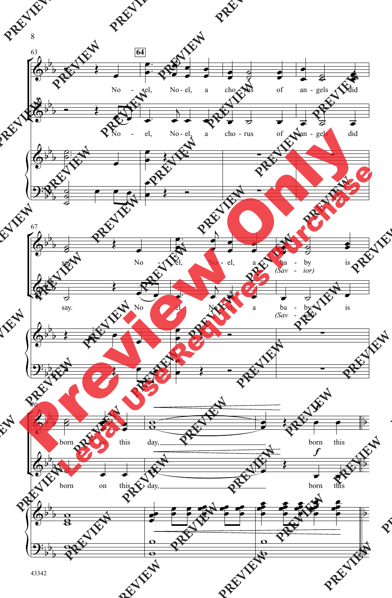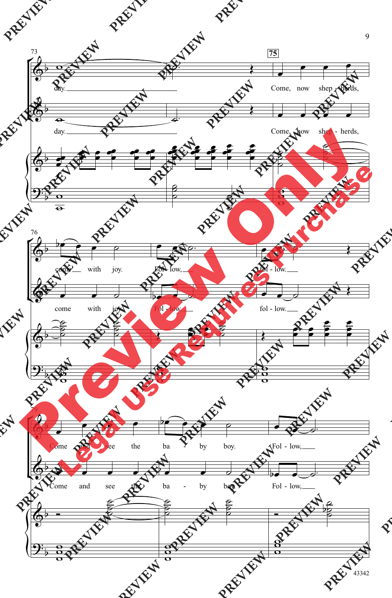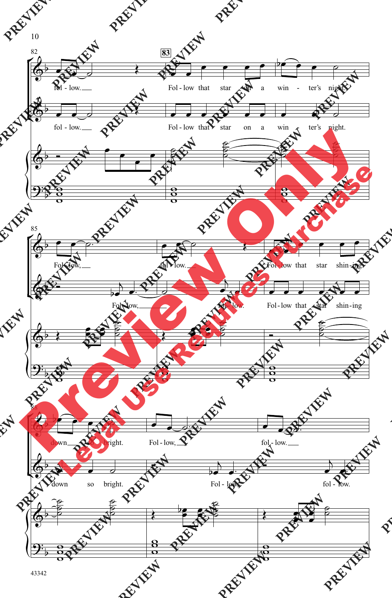